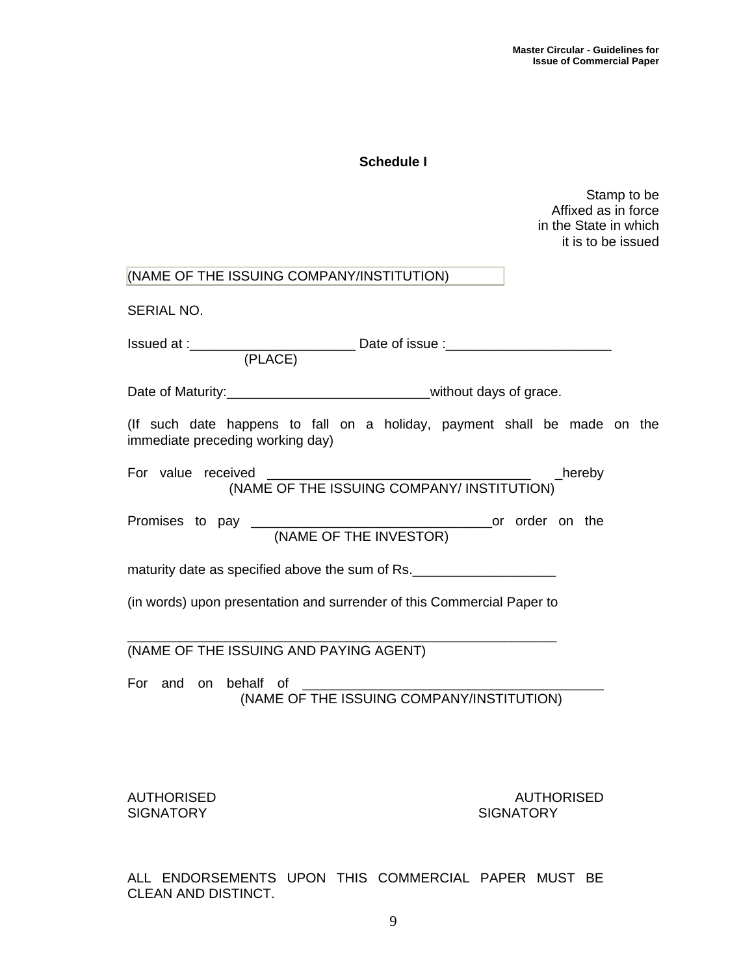## **Schedule I**

Stamp to be Affixed as in force in the State in which it is to be issued

| (NAME OF THE ISSUING COMPANY/INSTITUTION)                                                                    |
|--------------------------------------------------------------------------------------------------------------|
| SERIAL NO.                                                                                                   |
|                                                                                                              |
| Date of Maturity:___________________________________without days of grace.                                   |
| (If such date happens to fall on a holiday, payment shall be made on the<br>immediate preceding working day) |
| For value received<br>eived<br>(NAME OF THE ISSUING COMPANY/ INSTITUTION)<br>$_{\text{.}$ hereby             |
|                                                                                                              |
| maturity date as specified above the sum of Rs.                                                              |
| (in words) upon presentation and surrender of this Commercial Paper to                                       |
| (NAME OF THE ISSUING AND PAYING AGENT)                                                                       |
| For and on behalf of                                                                                         |
| <b>AUTHORISED</b><br><b>AUTHORISED</b><br><b>SIGNATORY</b><br><b>SIGNATORY</b>                               |

ALL ENDORSEMENTS UPON THIS COMMERCIAL PAPER MUST BE CLEAN AND DISTINCT.